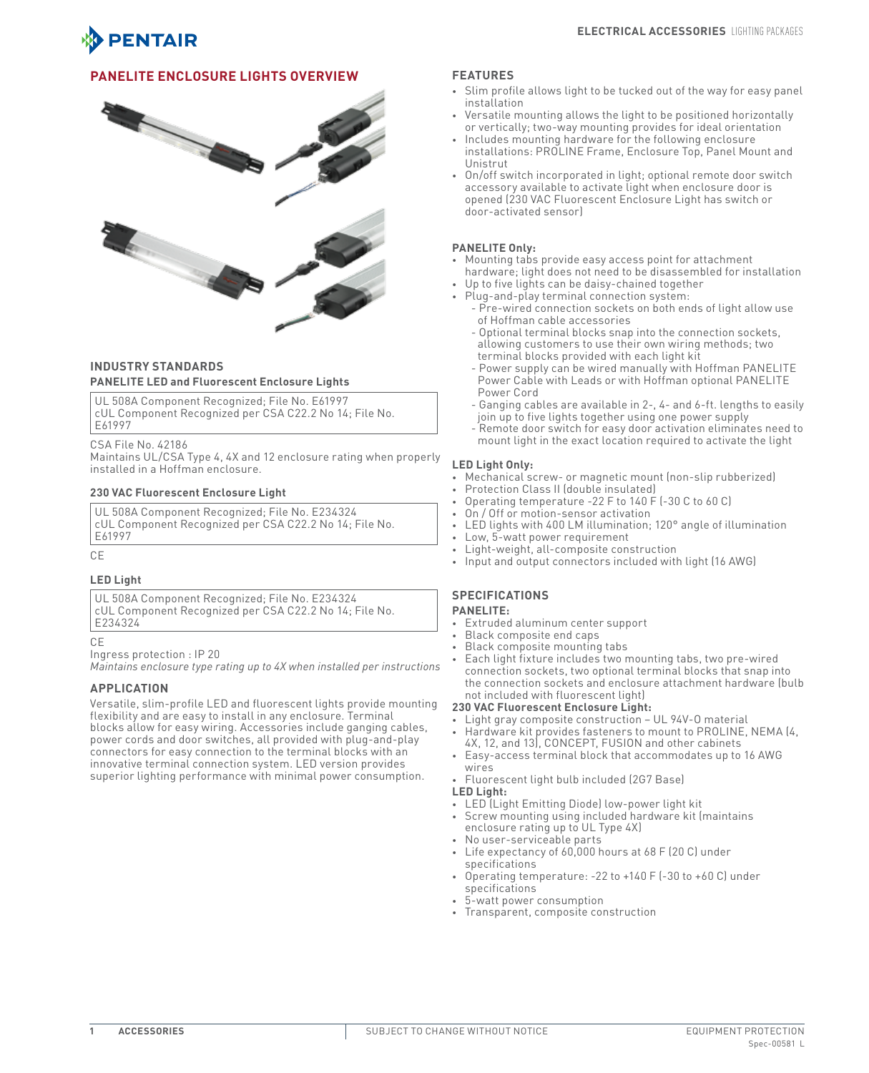

## **PANELITE Enclosure Lights Overview**



## **INDUSTRY STANDARDS PANELITE LED and Fluorescent Enclosure Lights**

UL 508A Component Recognized; File No. E61997 cUL Component Recognized per CSA C22.2 No 14; File No. E61997

CSA File No. 42186

Maintains UL/CSA Type 4, 4X and 12 enclosure rating when properly installed in a Hoffman enclosure.

#### **230 VAC Fluorescent Enclosure Light**

UL 508A Component Recognized; File No. E234324 cUL Component Recognized per CSA C22.2 No 14; File No. E61997

CE

#### **LED Light**

UL 508A Component Recognized; File No. E234324 cUL Component Recognized per CSA C22.2 No 14; File No. E234324

CE

Ingress protection : IP 20

*Maintains enclosure type rating up to 4X when installed per instructions*

#### **APPLICATION**

Versatile, slim-profile LED and fluorescent lights provide mounting flexibility and are easy to install in any enclosure. Terminal blocks allow for easy wiring. Accessories include ganging cables, power cords and door switches, all provided with plug-and-play connectors for easy connection to the terminal blocks with an innovative terminal connection system. LED version provides superior lighting performance with minimal power consumption.

#### **FEATURES**

- Slim profile allows light to be tucked out of the way for easy panel installation
- Versatile mounting allows the light to be positioned horizontally or vertically; two-way mounting provides for ideal orientation
- Includes mounting hardware for the following enclosure installations: PROLINE Frame, Enclosure Top, Panel Mount and Unistrut
- • On/off switch incorporated in light; optional remote door switch accessory available to activate light when enclosure door is opened (230 VAC Fluorescent Enclosure Light has switch or door-activated sensor)

#### **PANELITE Only:**

- Mounting tabs provide easy access point for attachment hardware; light does not need to be disassembled for installation
- Up to five lights can be daisy-chained together Plug-and-play terminal connection system:
	- Pre-wired connection sockets on both ends of light allow use of Hoffman cable accessories
	- Optional terminal blocks snap into the connection sockets, allowing customers to use their own wiring methods; two terminal blocks provided with each light kit
	- Power supply can be wired manually with Hoffman PANELITE Power Cable with Leads or with Hoffman optional PANELITE Power Cord
	- Ganging cables are available in 2-, 4- and 6-ft. lengths to easily join up to five lights together using one power supply
	- Remote door switch for easy door activation eliminates need to mount light in the exact location required to activate the light

#### **LED Light Only:**

- Mechanical screw- or magnetic mount (non-slip rubberized)
- Protection Class II (double insulated)
	- Operating temperature -22 F to 140 F (-30 C to 60 C)
	- On / Off or motion-sensor activation
	- LED lights with 400 LM illumination; 120° angle of illumination
	- Low, 5-watt power requirement
	- Light-weight, all-composite construction
	- Input and output connectors included with light (16 AWG)

## **SPECIFICATIONS**

# **PANELITE:**

- • Extruded aluminum center support
- Black composite end caps
- Black composite mounting tabs
- Each light fixture includes two mounting tabs, two pre-wired connection sockets, two optional terminal blocks that snap into the connection sockets and enclosure attachment hardware (bulb not included with fluorescent light)

#### **230 VAC Fluorescent Enclosure Light:**

- Light gray composite construction UL 94V-0 material
- Hardware kit provides fasteners to mount to PROLINE, NEMA (4, 4X, 12, and 13), CONCEPT, FUSION and other cabinets
- Easy-access terminal block that accommodates up to 16 AWG wires
- Fluorescent light bulb included (2G7 Base)

# **LED Light:**

- • LED (Light Emitting Diode) low-power light kit
- Screw mounting using included hardware kit (maintains enclosure rating up to UL Type 4X)
- • No user-serviceable parts
- Life expectancy of  $60,000$  hours at  $68$  F (20 C) under specifications
- Operating temperature: -22 to  $+140$  F (-30 to  $+60$  C) under specifications
- 5-watt power consumption
- • Transparent, composite construction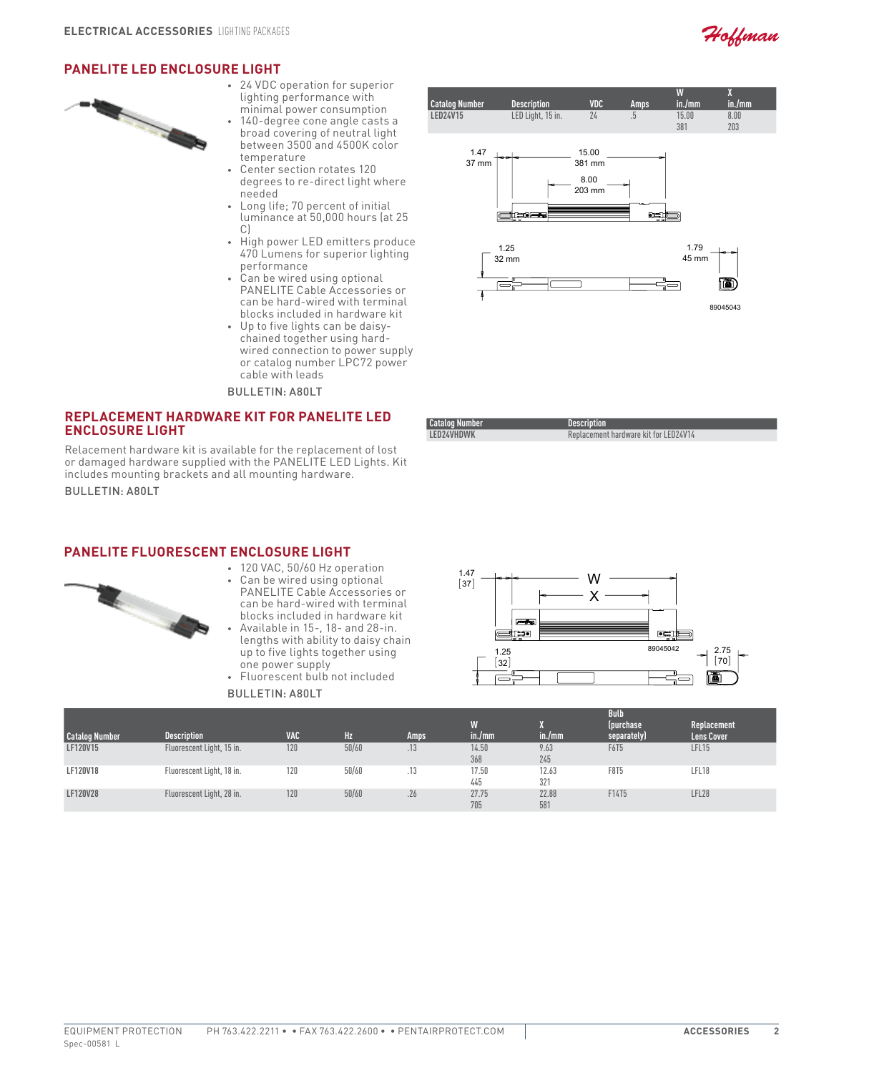

89045043

nt)

# **PANELITE LED Enclosure Light**



- • 24 VDC operation for superior lighting performance with minimal power consumption 140-degree cone angle casts a
- broad covering of neutral light between 3500 and 4500K color temperature
- Center section rotates 120 degrees to re-direct light where needed
- • Long life; 70 percent of initial luminance at 50,000 hours (at 25 C)
- • High power LED emitters produce 470 Lumens for superior lighting performance
- • Can be wired using optional PANELITE Cable Accessories or can be hard-wired with terminal blocks included in hardware kit
- • Up to five lights can be daisychained together using hardwired connection to power supply or catalog number LPC72 power cable with leads

Bulletin: A80LT

## **Replacement Hardware Kit for PANELITE LED Enclosure Light**

Relacement hardware kit is available for the replacement of lost or damaged hardware supplied with the PANELITE LED Lights. Kit includes mounting brackets and all mounting hardware.

Bulletin: A80LT

# **PANELITE Fluorescent Enclosure Light**



- • 120 VAC, 50/60 Hz operation • Can be wired using optional PANELITE Cable Accessories or can be hard-wired with terminal blocks included in hardware kit
- Available in 15-, 18- and 28-in. lengths with ability to daisy chain up to five lights together using one power supply
- • Fluorescent bulb not included

Bulletin: A80LT

| <b>Catalog Number</b> | <b>Description</b> | <b>VDC</b>                        | <b>Amps</b> | W<br>in./mm   | X<br>in./mm |  |
|-----------------------|--------------------|-----------------------------------|-------------|---------------|-------------|--|
| <b>LED24V15</b>       | LED Light, 15 in.  | 24                                | .5          | 15.00<br>381  | 8.00<br>203 |  |
| 1.47<br>37 mm         | <u>yaasa</u>       | 15.00<br>381 mm<br>8.00<br>203 mm |             |               |             |  |
| 1.25<br>32 mm         |                    |                                   |             | 1.79<br>45 mm |             |  |



Replacement hardware kit for LED24V14

**Catalog Number Description**

| <b>Catalog Number</b> | <b>Description</b>        | <b>VAC</b> | Hz    | Amps | W<br>in./mm  | $\mathsf{in}$ ./mm $\mathsf{in}$ | <b>Bulb</b><br>(purchase)<br>separately) | Replacement<br><b>Lens Cover</b> |
|-----------------------|---------------------------|------------|-------|------|--------------|----------------------------------|------------------------------------------|----------------------------------|
| LF120V15              | Fluorescent Light, 15 in. | 120        | 50/60 | .10  | 14.50<br>368 | 9.63<br>245                      | F6T5                                     | <b>LFL15</b>                     |
| LF120V18              | Fluorescent Light, 18 in. | 120        | 50/60 | ں ا  | 17.50<br>445 | 12.63<br>321                     | F8T5                                     | LFL18                            |
| LF120V28              | Fluorescent Light, 28 in. | 120        | 50/60 | .26  | 27.75<br>705 | 22.88<br>581                     | F14T5                                    | LFL28                            |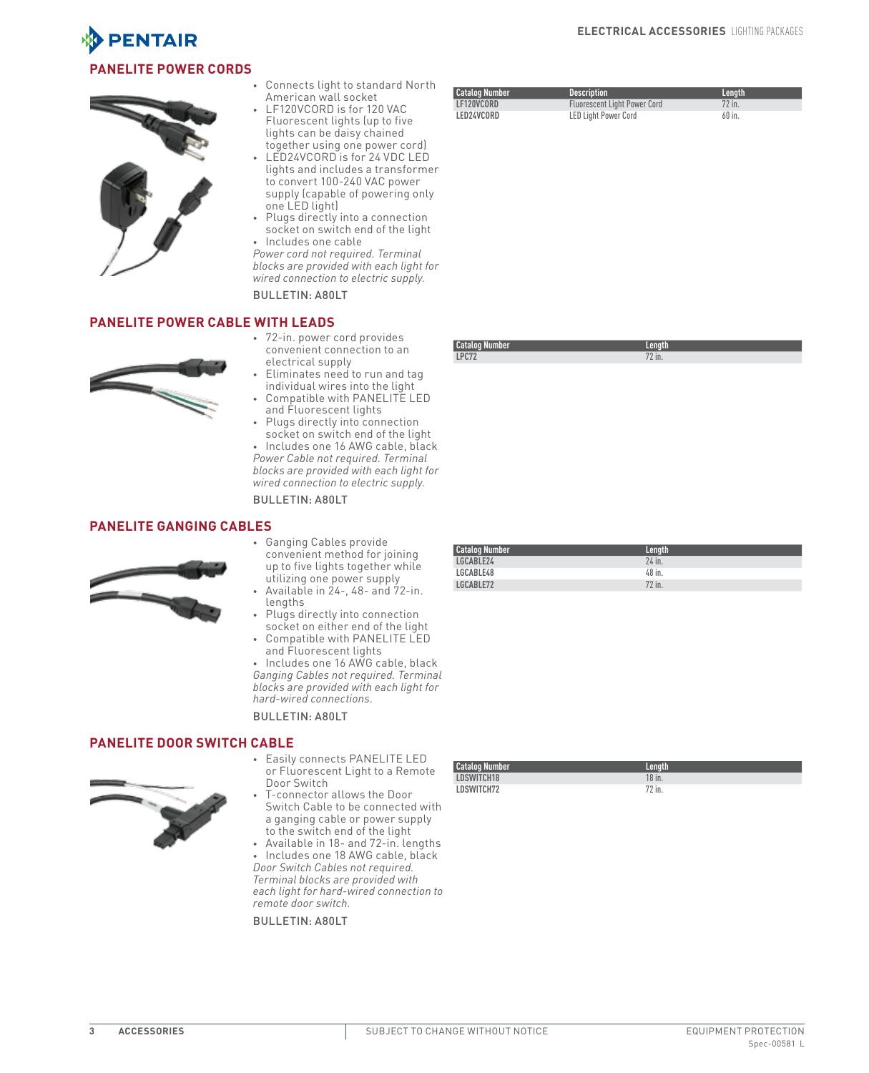

# **PANELITE Power Cords**



Connects light to standard North American wall socket

- LF120VCORD is for 120 VAC Fluorescent lights (up to five lights can be daisy chained together using one power cord)
- LED24VCORD is for 24 VDC LED lights and includes a transformer to convert 100-240 VAC power supply (capable of powering only one LED light)
- Plugs directly into a connection socket on switch end of the light

Includes one cable *Power cord not required. Terminal blocks are provided with each light for wired connection to electric supply.*

Bulletin: A80LT

## **PANELITE Power Cable with Leads**



- • 72-in. power cord provides convenient connection to an electrical supply
- Eliminates need to run and tag individual wires into the light Compatible with PANELITE LED
- and Fluorescent lights Plugs directly into connection

socket on switch end of the light • Includes one 16 AWG cable, black *Power Cable not required. Terminal blocks are provided with each light for* 

*wired connection to electric supply.* Bulletin: A80LT

## **PANELITE Ganging Cables**



- • Ganging Cables provide convenient method for joining up to five lights together while utilizing one power supply
- Available in 24-, 48- and 72-in. lengths
- • Plugs directly into connection socket on either end of the light
- Compatible with PANELITE LED and Fluorescent lights

• Includes one 16 AWG cable, black *Ganging Cables not required. Terminal blocks are provided with each light for hard-wired connections.*

Bulletin: A80LT

# **PANELITE Door Switch Cable**



- • Easily connects PANELITE LED or Fluorescent Light to a Remote Door Switch
- T-connector allows the Door Switch Cable to be connected with a ganging cable or power supply to the switch end of the light
- • Available in 18- and 72-in. lengths • Includes one 18 AWG cable, black *Door Switch Cables not required. Terminal blocks are provided with*

*each light for hard-wired connection to remote door switch.*

Bulletin: A80LT

| <b>Catalog Number</b> | Lenath |
|-----------------------|--------|
| LDSWITCH18            | 18 in. |
| LDSWITCH72            | 72 in. |

| <b>Catalog Number</b> | <b>Description</b>                  | Length |
|-----------------------|-------------------------------------|--------|
| LF120VCORD            | <b>Fluorescent Light Power Cord</b> | 72 in. |
| LED24VCORD            | <b>LED Light Power Cord</b>         | 60 in. |

**Catalog Number Length LPC72** 72 in.

| <b>Catalog Number</b> | Length |  |
|-----------------------|--------|--|
| LGCABLE24             | 24 in. |  |
| LGCABLE48             | 48 in. |  |
| LGCABLE72             | 72 in. |  |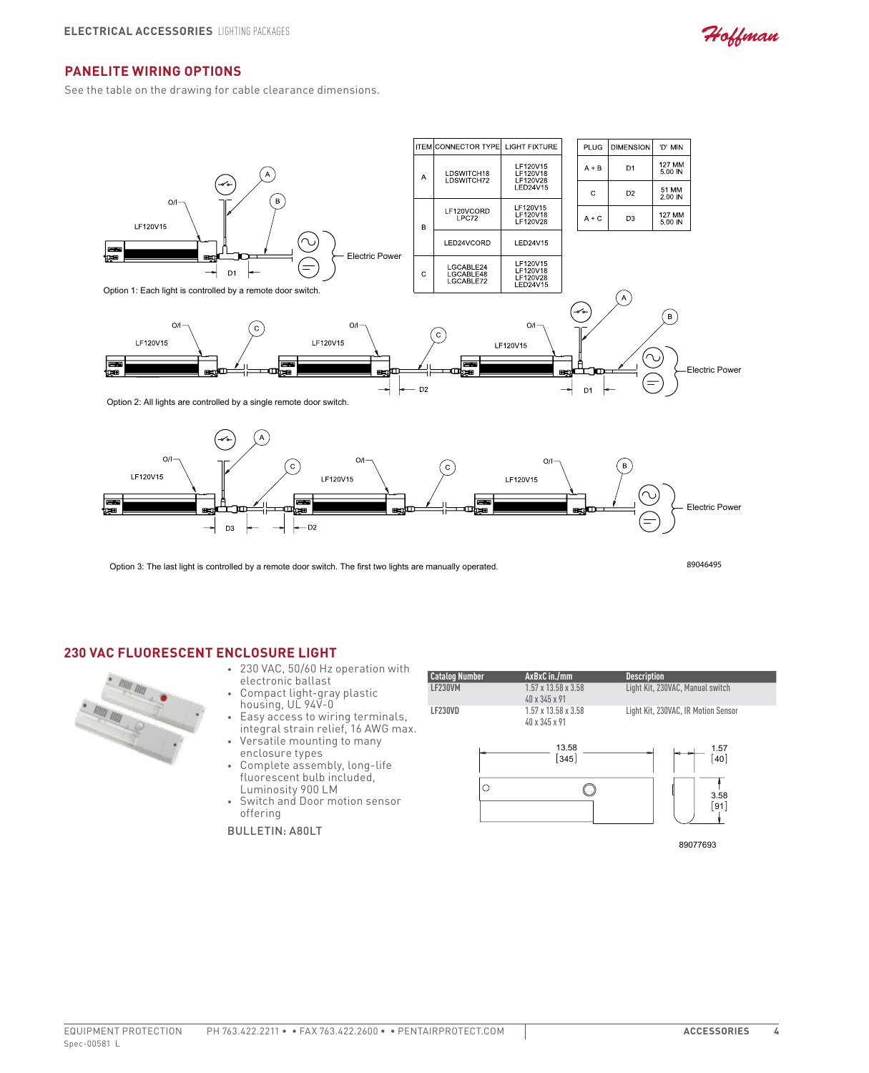Hoffman

# **PANELITE Wiring Options**

See the table on the drawing for cable clearance dimensions.



Option 3: The last light is controlled by a remote door switch. The first two lights are manually operated.

89046495

#### **230 VAC Fluorescent Enclosure Light**



- • 230 VAC, 50/60 Hz operation with electronic ballast
- Compact light-gray plastic housing, UL 94V-0
- Easy access to wiring terminals, integral strain relief, 16 AWG max.
- Versatile mounting to many enclosure types
- Complete assembly, long-life fluorescent bulb included, Luminosity 900 LM
- • Switch and Door motion sensor offering

Bulletin: A80LT

| <b>Catalog Number</b> | $AxBxC$ in./mm                                               | <b>Description</b>                  |
|-----------------------|--------------------------------------------------------------|-------------------------------------|
| LF230VM               | $1.57 \times 13.58 \times 3.58$<br>$40 \times 345 \times 91$ | Light Kit, 230VAC, Manual switch    |
| LF230VD               | $1.57 \times 13.58 \times 3.58$<br>40 x 345 x 91             | Light Kit, 230VAC, IR Motion Sensor |



89077693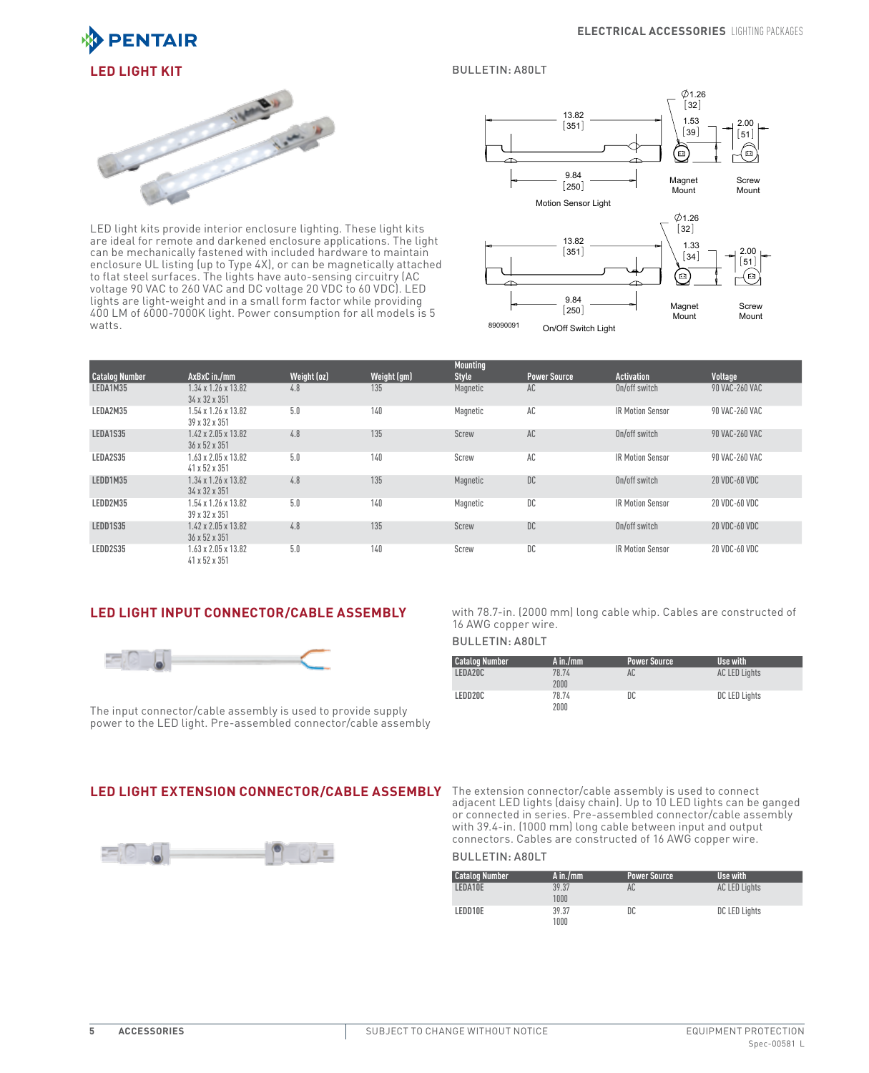

#### Bulletin: A80LT



LED light kits provide interior enclosure lighting. These light kits are ideal for remote and darkened enclosure applications. The light can be mechanically fastened with included hardware to maintain enclosure UL listing (up to Type 4X), or can be magnetically attached to flat steel surfaces. The lights have auto-sensing circuitry (AC voltage 90 VAC to 260 VAC and DC voltage 20 VDC to 60 VDC). LED lights are light-weight and in a small form factor while providing 400 LM of 6000-7000K light. Power consumption for all models is 5 watts.



|                       |                                                  |             |             | <b>Mounting</b> |                     |                         |                |  |
|-----------------------|--------------------------------------------------|-------------|-------------|-----------------|---------------------|-------------------------|----------------|--|
| <b>Catalog Number</b> | AxBxC in./mm                                     | Weight (oz) | Weight (gm) | <b>Style</b>    | <b>Power Source</b> | <b>Activation</b>       | Voltage        |  |
| LEDA1M35              | $1.34 \times 1.26 \times 13.82$<br>34 x 32 x 351 | 4.8         | 135         | Magnetic        | AC                  | On/off switch           | 90 VAC-260 VAC |  |
| LEDA2M35              | 1.54 x 1.26 x 13.82<br>39 x 32 x 351             | 5.0         | 140         | Magnetic        | AC                  | <b>IR Motion Sensor</b> | 90 VAC-260 VAC |  |
| LEDA1S35              | $1.42 \times 2.05 \times 13.82$<br>36 x 52 x 351 | 4.8         | 135         | Screw           | AC                  | On/off switch           | 90 VAC-260 VAC |  |
| LEDA2S35              | 1.63 x 2.05 x 13.82<br>41 x 52 x 351             | 5.0         | 140         | Screw           | AC                  | <b>IR Motion Sensor</b> | 90 VAC-260 VAC |  |
| LEDD1M35              | $1.34 \times 1.26 \times 13.82$<br>34 x 32 x 351 | 4.8         | 135         | Magnetic        | DC                  | On/off switch           | 20 VDC-60 VDC  |  |
| LEDD2M35              | 1.54 x 1.26 x 13.82<br>39 x 32 x 351             | 5.0         | 140         | Magnetic        | DC                  | <b>IR Motion Sensor</b> | 20 VDC-60 VDC  |  |
| LEDD1S35              | $1.42 \times 2.05 \times 13.82$<br>36 x 52 x 351 | 4.8         | 135         | Screw           | DC                  | On/off switch           | 20 VDC-60 VDC  |  |
| LEDD2S35              | 1.63 x 2.05 x 13.82<br>41 x 52 x 351             | 5.0         | 140         | Screw           | DC                  | <b>IR Motion Sensor</b> | 20 VDC-60 VDC  |  |

# **LED Light Input Connector/Cable Assembly**



The input connector/cable assembly is used to provide supply power to the LED light. Pre-assembled connector/cable assembly

#### with 78.7-in. (2000 mm) long cable whip. Cables are constructed of 16 AWG copper wire.

# Bulletin: A80LT

| <b>Catalog Number</b> | $A$ in./mm    | <b>Power Source</b> | Use with             |
|-----------------------|---------------|---------------------|----------------------|
| LEDA20C               | 78.74<br>2000 | AC                  | <b>AC LED Lights</b> |
| LEDD20C               | 78.74<br>2000 | DC                  | DC LED Lights        |



**LED Light Extension Connector/Cable Assembly** The extension connector/cable assembly is used to connect adjacent LED lights (daisy chain). Up to 10 LED lights can be ganged or connected in series. Pre-assembled connector/cable assembly with 39.4-in. (1000 mm) long cable between input and output connectors. Cables are constructed of 16 AWG copper wire.

#### Bulletin: A80LT

| <b>Catalog Number</b> | $A$ in./mm    | <b>Power Source</b> | Use with             |
|-----------------------|---------------|---------------------|----------------------|
| LEDA10E               | 39.37<br>1000 | AC                  | <b>AC LED Lights</b> |
| LEDD10E               | 39.37<br>1000 | DC                  | DC LED Lights        |